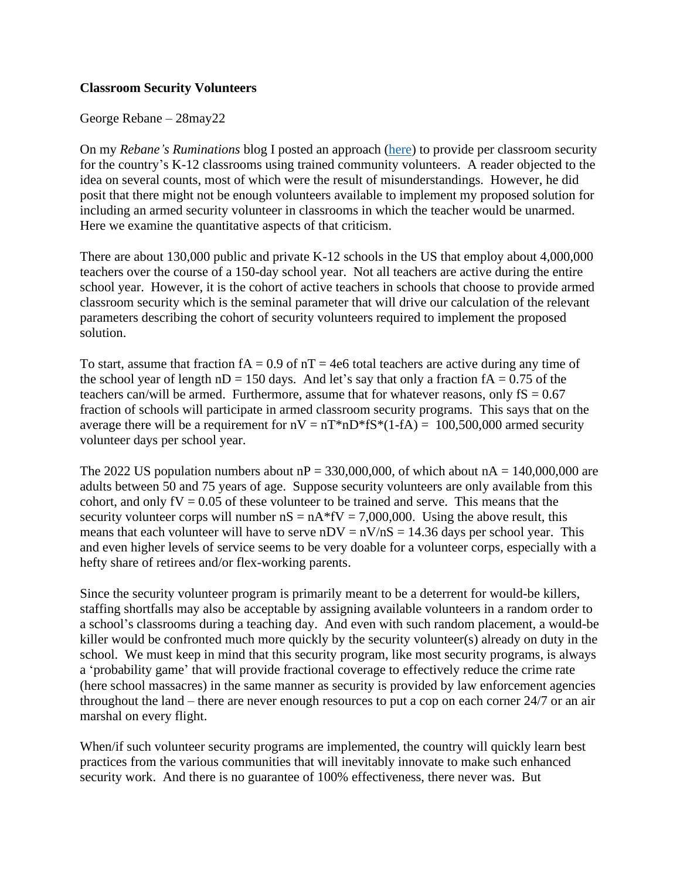## **Classroom Security Volunteers**

George Rebane – 28may22

On my *Rebane's Ruminations* blog I posted an approach [\(here\)](https://rebaneruminations.typepad.com/rebanes_ruminations/2022/05/to-protect-the-children.html) to provide per classroom security for the country's K-12 classrooms using trained community volunteers. A reader objected to the idea on several counts, most of which were the result of misunderstandings. However, he did posit that there might not be enough volunteers available to implement my proposed solution for including an armed security volunteer in classrooms in which the teacher would be unarmed. Here we examine the quantitative aspects of that criticism.

There are about 130,000 public and private K-12 schools in the US that employ about 4,000,000 teachers over the course of a 150-day school year. Not all teachers are active during the entire school year. However, it is the cohort of active teachers in schools that choose to provide armed classroom security which is the seminal parameter that will drive our calculation of the relevant parameters describing the cohort of security volunteers required to implement the proposed solution.

To start, assume that fraction  $fA = 0.9$  of  $nT = 4e6$  total teachers are active during any time of the school year of length  $nD = 150$  days. And let's say that only a fraction  $fA = 0.75$  of the teachers can/will be armed. Furthermore, assume that for whatever reasons, only  $fS = 0.67$ fraction of schools will participate in armed classroom security programs. This says that on the average there will be a requirement for  $nV = nT*nD*fS*(1-fA) = 100,500,000$  armed security volunteer days per school year.

The 2022 US population numbers about  $nP = 330,000,000$ , of which about  $nA = 140,000,000$  are adults between 50 and 75 years of age. Suppose security volunteers are only available from this cohort, and only  $fV = 0.05$  of these volunteer to be trained and serve. This means that the security volunteer corps will number  $nS = nA*fV = 7,000,000$ . Using the above result, this means that each volunteer will have to serve  $nDV = nV/nS = 14.36$  days per school year. This and even higher levels of service seems to be very doable for a volunteer corps, especially with a hefty share of retirees and/or flex-working parents.

Since the security volunteer program is primarily meant to be a deterrent for would-be killers, staffing shortfalls may also be acceptable by assigning available volunteers in a random order to a school's classrooms during a teaching day. And even with such random placement, a would-be killer would be confronted much more quickly by the security volunteer(s) already on duty in the school. We must keep in mind that this security program, like most security programs, is always a 'probability game' that will provide fractional coverage to effectively reduce the crime rate (here school massacres) in the same manner as security is provided by law enforcement agencies throughout the land – there are never enough resources to put a cop on each corner 24/7 or an air marshal on every flight.

When/if such volunteer security programs are implemented, the country will quickly learn best practices from the various communities that will inevitably innovate to make such enhanced security work. And there is no guarantee of 100% effectiveness, there never was. But